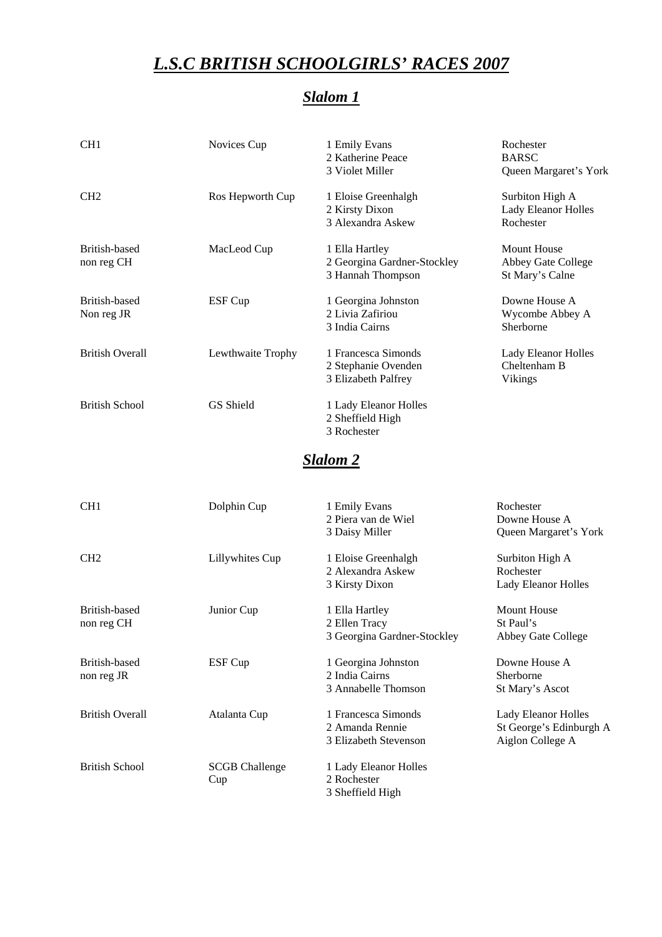### *L.S.C BRITISH SCHOOLGIRLS' RACES 2007*

# *Slalom 1*

| CH <sub>1</sub>             | Novices Cup       | 1 Emily Evans<br>2 Katherine Peace<br>3 Violet Miller              | Rochester<br><b>BARSC</b><br>Queen Margaret's York         |
|-----------------------------|-------------------|--------------------------------------------------------------------|------------------------------------------------------------|
| CH <sub>2</sub>             | Ros Hepworth Cup  | 1 Eloise Greenhalgh<br>2 Kirsty Dixon<br>3 Alexandra Askew         | Surbiton High A<br><b>Lady Eleanor Holles</b><br>Rochester |
| British-based<br>non reg CH | MacLeod Cup       | 1 Ella Hartley<br>2 Georgina Gardner-Stockley<br>3 Hannah Thompson | Mount House<br>Abbey Gate College<br>St Mary's Calne       |
| British-based<br>Non reg JR | ESF Cup           | 1 Georgina Johnston<br>2 Livia Zafiriou<br>3 India Cairns          | Downe House A<br>Wycombe Abbey A<br>Sherborne              |
| <b>British Overall</b>      | Lewthwaite Trophy | 1 Francesca Simonds<br>2 Stephanie Ovenden<br>3 Elizabeth Palfrey  | Lady Eleanor Holles<br>Cheltenham B<br><b>Vikings</b>      |
| <b>British School</b>       | GS Shield         | 1 Lady Eleanor Holles<br>2 Sheffield High<br>3 Rochester           |                                                            |

#### *Slalom 2*

| CH <sub>1</sub>             | Dolphin Cup                  | 1 Emily Evans<br>2 Piera van de Wiel<br>3 Daisy Miller          | Rochester<br>Downe House A<br>Queen Margaret's York                |
|-----------------------------|------------------------------|-----------------------------------------------------------------|--------------------------------------------------------------------|
| CH <sub>2</sub>             | Lillywhites Cup              | 1 Eloise Greenhalgh<br>2 Alexandra Askew<br>3 Kirsty Dixon      | Surbiton High A<br>Rochester<br>Lady Eleanor Holles                |
| British-based<br>non reg CH | Junior Cup                   | 1 Ella Hartley<br>2 Ellen Tracy<br>3 Georgina Gardner-Stockley  | <b>Mount House</b><br>St Paul's<br>Abbey Gate College              |
| British-based<br>non reg JR | ESF Cup                      | 1 Georgina Johnston<br>2 India Cairns<br>3 Annabelle Thomson    | Downe House A<br>Sherborne<br>St Mary's Ascot                      |
| <b>British Overall</b>      | Atalanta Cup                 | 1 Francesca Simonds<br>2 Amanda Rennie<br>3 Elizabeth Stevenson | Lady Eleanor Holles<br>St George's Edinburgh A<br>Aiglon College A |
| <b>British School</b>       | <b>SCGB</b> Challenge<br>Cup | 1 Lady Eleanor Holles<br>2 Rochester<br>3 Sheffield High        |                                                                    |